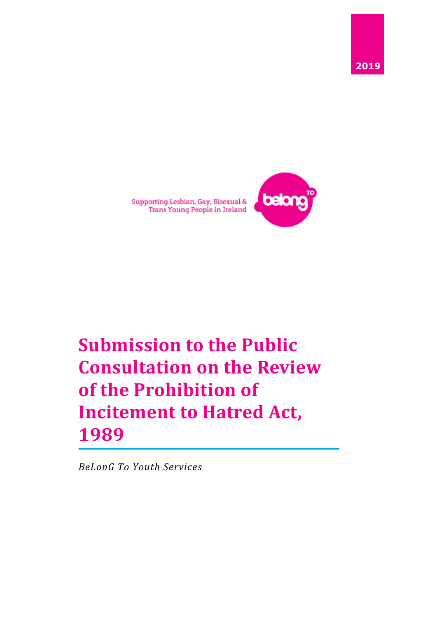



Supporting Lesbian, Gay, Bisexual &<br>Trans Young People in Ireland

# **Submission to the Public Consultation on the Review of the Prohibition of Incitement to Hatred Act, 1989**

*BeLonG To Youth Services*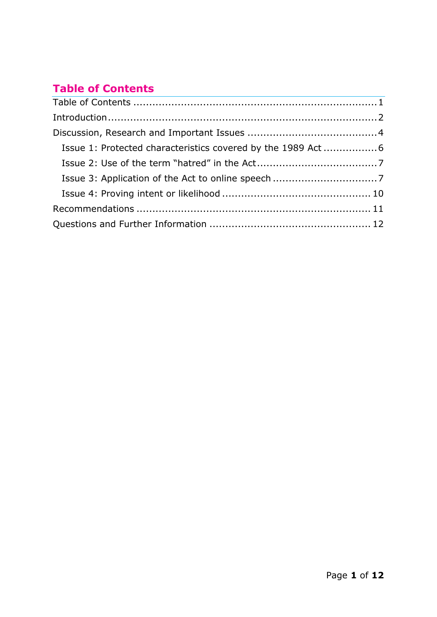# <span id="page-1-0"></span>**Table of Contents**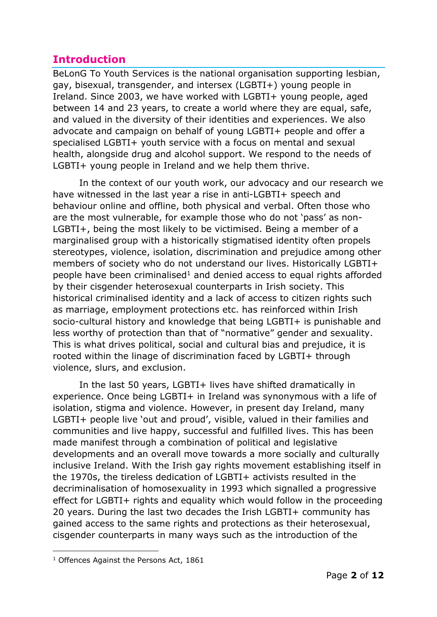### <span id="page-2-0"></span>**Introduction**

BeLonG To Youth Services is the national organisation supporting lesbian, gay, bisexual, transgender, and intersex (LGBTI+) young people in Ireland. Since 2003, we have worked with LGBTI+ young people, aged between 14 and 23 years, to create a world where they are equal, safe, and valued in the diversity of their identities and experiences. We also advocate and campaign on behalf of young LGBTI+ people and offer a specialised LGBTI+ youth service with a focus on mental and sexual health, alongside drug and alcohol support. We respond to the needs of LGBTI+ young people in Ireland and we help them thrive.

In the context of our youth work, our advocacy and our research we have witnessed in the last year a rise in anti-LGBTI+ speech and behaviour online and offline, both physical and verbal. Often those who are the most vulnerable, for example those who do not 'pass' as non-LGBTI+, being the most likely to be victimised. Being a member of a marginalised group with a historically stigmatised identity often propels stereotypes, violence, isolation, discrimination and prejudice among other members of society who do not understand our lives. Historically LGBTI+ people have been criminalised<sup>1</sup> and denied access to equal rights afforded by their cisgender heterosexual counterparts in Irish society. This historical criminalised identity and a lack of access to citizen rights such as marriage, employment protections etc. has reinforced within Irish socio-cultural history and knowledge that being LGBTI+ is punishable and less worthy of protection than that of "normative" gender and sexuality. This is what drives political, social and cultural bias and prejudice, it is rooted within the linage of discrimination faced by LGBTI+ through violence, slurs, and exclusion.

In the last 50 years, LGBTI+ lives have shifted dramatically in experience. Once being LGBTI+ in Ireland was synonymous with a life of isolation, stigma and violence. However, in present day Ireland, many LGBTI+ people live 'out and proud', visible, valued in their families and communities and live happy, successful and fulfilled lives. This has been made manifest through a combination of political and legislative developments and an overall move towards a more socially and culturally inclusive Ireland. With the Irish gay rights movement establishing itself in the 1970s, the tireless dedication of LGBTI+ activists resulted in the decriminalisation of homosexuality in 1993 which signalled a progressive effect for LGBTI+ rights and equality which would follow in the proceeding 20 years. During the last two decades the Irish LGBTI+ community has gained access to the same rights and protections as their heterosexual, cisgender counterparts in many ways such as the introduction of the

<sup>&</sup>lt;sup>1</sup> Offences Against the Persons Act, 1861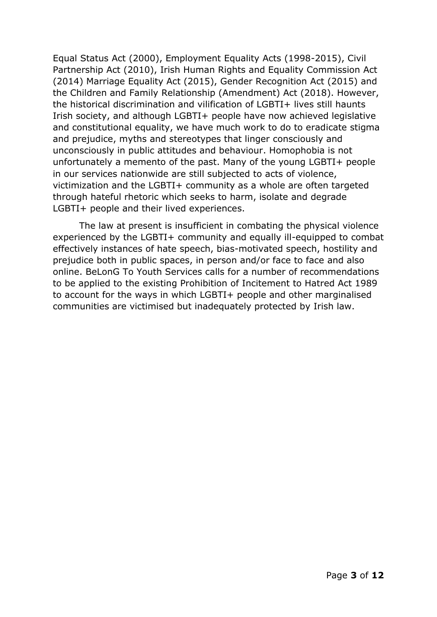Equal Status Act (2000), Employment Equality Acts (1998-2015), Civil Partnership Act (2010), Irish Human Rights and Equality Commission Act (2014) Marriage Equality Act (2015), Gender Recognition Act (2015) and the Children and Family Relationship (Amendment) Act (2018). However, the historical discrimination and vilification of LGBTI+ lives still haunts Irish society, and although LGBTI+ people have now achieved legislative and constitutional equality, we have much work to do to eradicate stigma and prejudice, myths and stereotypes that linger consciously and unconsciously in public attitudes and behaviour. Homophobia is not unfortunately a memento of the past. Many of the young LGBTI+ people in our services nationwide are still subjected to acts of violence, victimization and the LGBTI+ community as a whole are often targeted through hateful rhetoric which seeks to harm, isolate and degrade LGBTI+ people and their lived experiences.

The law at present is insufficient in combating the physical violence experienced by the LGBTI+ community and equally ill-equipped to combat effectively instances of hate speech, bias-motivated speech, hostility and prejudice both in public spaces, in person and/or face to face and also online. BeLonG To Youth Services calls for a number of recommendations to be applied to the existing Prohibition of Incitement to Hatred Act 1989 to account for the ways in which LGBTI+ people and other marginalised communities are victimised but inadequately protected by Irish law.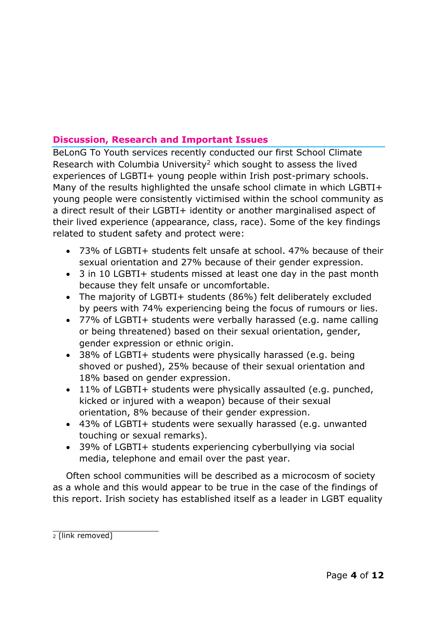#### <span id="page-4-0"></span>**Discussion, Research and Important Issues**

BeLonG To Youth services recently conducted our first School Climate Research with Columbia University<sup>2</sup> which sought to assess the lived experiences of LGBTI+ young people within Irish post-primary schools. Many of the results highlighted the unsafe school climate in which LGBTI+ young people were consistently victimised within the school community as a direct result of their LGBTI+ identity or another marginalised aspect of their lived experience (appearance, class, race). Some of the key findings related to student safety and protect were:

- 73% of LGBTI+ students felt unsafe at school. 47% because of their sexual orientation and 27% because of their gender expression.
- 3 in 10 LGBTI+ students missed at least one day in the past month because they felt unsafe or uncomfortable.
- The majority of LGBTI+ students (86%) felt deliberately excluded by peers with 74% experiencing being the focus of rumours or lies.
- 77% of LGBTI+ students were verbally harassed (e.g. name calling or being threatened) based on their sexual orientation, gender, gender expression or ethnic origin.
- 38% of LGBTI+ students were physically harassed (e.g. being shoved or pushed), 25% because of their sexual orientation and 18% based on gender expression.
- 11% of LGBTI+ students were physically assaulted (e.g. punched, kicked or injured with a weapon) because of their sexual orientation, 8% because of their gender expression.
- 43% of LGBTI+ students were sexually harassed (e.g. unwanted touching or sexual remarks).
- 39% of LGBTI+ students experiencing cyberbullying via social media, telephone and email over the past year.

Often school communities will be described as a microcosm of society as a whole and this would appear to be true in the case of the findings of this report. Irish society has established itself as a leader in LGBT equality

<sup>2</sup> [link removed]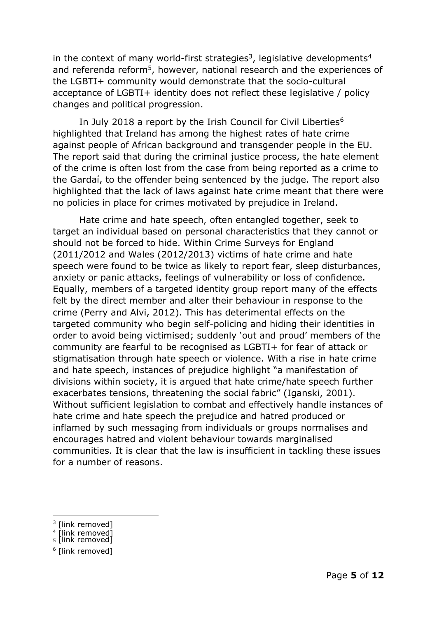in the context of many world-first strategies<sup>3</sup>, legislative developments<sup>4</sup> and referenda reform<sup>5</sup>, however, national research and the experiences of the LGBTI+ community would demonstrate that the socio-cultural acceptance of LGBTI+ identity does not reflect these legislative / policy changes and political progression.

In July 2018 a report by the Irish Council for Civil Liberties<sup>6</sup> highlighted that Ireland has among the highest rates of hate crime against people of African background and transgender people in the EU. The report said that during the criminal justice process, the hate element of the crime is often lost from the case from being reported as a crime to the Gardaí, to the offender being sentenced by the judge. The report also highlighted that the lack of laws against hate crime meant that there were no policies in place for crimes motivated by prejudice in Ireland.

Hate crime and hate speech, often entangled together, seek to target an individual based on personal characteristics that they cannot or should not be forced to hide. Within Crime Surveys for England (2011/2012 and Wales (2012/2013) victims of hate crime and hate speech were found to be twice as likely to report fear, sleep disturbances, anxiety or panic attacks, feelings of vulnerability or loss of confidence. Equally, members of a targeted identity group report many of the effects felt by the direct member and alter their behaviour in response to the crime (Perry and Alvi, 2012). This has deterimental effects on the targeted community who begin self-policing and hiding their identities in order to avoid being victimised; suddenly 'out and proud' members of the community are fearful to be recognised as LGBTI+ for fear of attack or stigmatisation through hate speech or violence. With a rise in hate crime and hate speech, instances of prejudice highlight "a manifestation of divisions within society, it is argued that hate crime/hate speech further exacerbates tensions, threatening the social fabric" (Iganski, 2001). Without sufficient legislation to combat and effectively handle instances of hate crime and hate speech the prejudice and hatred produced or inflamed by such messaging from individuals or groups normalises and encourages hatred and violent behaviour towards marginalised communities. It is clear that the law is insufficient in tackling these issues for a number of reasons.

- 3 [link removed]
- <sup>4</sup> [link removed]<br><sub>5</sub> [link removed]
- 

<sup>6</sup> [link removed]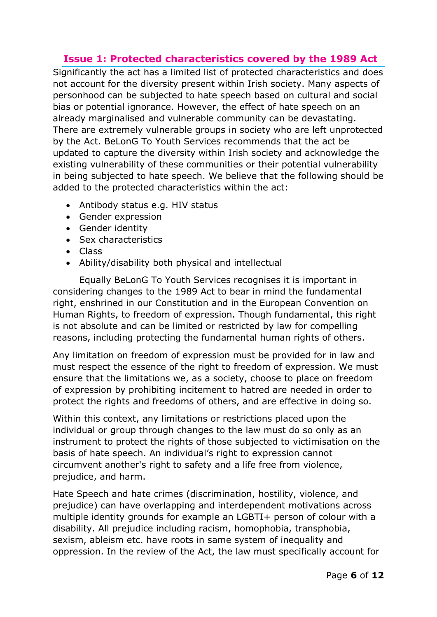#### <span id="page-6-0"></span>**Issue 1: Protected characteristics covered by the 1989 Act**

Significantly the act has a limited list of protected characteristics and does not account for the diversity present within Irish society. Many aspects of personhood can be subjected to hate speech based on cultural and social bias or potential ignorance. However, the effect of hate speech on an already marginalised and vulnerable community can be devastating. There are extremely vulnerable groups in society who are left unprotected by the Act. BeLonG To Youth Services recommends that the act be updated to capture the diversity within Irish society and acknowledge the existing vulnerability of these communities or their potential vulnerability in being subjected to hate speech. We believe that the following should be added to the protected characteristics within the act:

- Antibody status e.g. HIV status
- Gender expression
- Gender identity
- Sex characteristics
- Class
- Ability/disability both physical and intellectual

Equally BeLonG To Youth Services recognises it is important in considering changes to the 1989 Act to bear in mind the fundamental right, enshrined in our Constitution and in the European Convention on Human Rights, to freedom of expression. Though fundamental, this right is not absolute and can be limited or restricted by law for compelling reasons, including protecting the fundamental human rights of others.

Any limitation on freedom of expression must be provided for in law and must respect the essence of the right to freedom of expression. We must ensure that the limitations we, as a society, choose to place on freedom of expression by prohibiting incitement to hatred are needed in order to protect the rights and freedoms of others, and are effective in doing so.

Within this context, any limitations or restrictions placed upon the individual or group through changes to the law must do so only as an instrument to protect the rights of those subjected to victimisation on the basis of hate speech. An individual's right to expression cannot circumvent another's right to safety and a life free from violence, prejudice, and harm.

Hate Speech and hate crimes (discrimination, hostility, violence, and prejudice) can have overlapping and interdependent motivations across multiple identity grounds for example an LGBTI+ person of colour with a disability. All prejudice including racism, homophobia, transphobia, sexism, ableism etc. have roots in same system of inequality and oppression. In the review of the Act, the law must specifically account for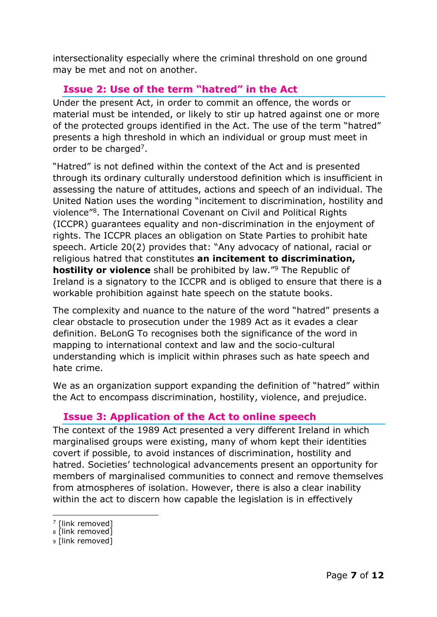intersectionality especially where the criminal threshold on one ground may be met and not on another.

#### <span id="page-7-0"></span>**Issue 2: Use of the term "hatred" in the Act**

Under the present Act, in order to commit an offence, the words or material must be intended, or likely to stir up hatred against one or more of the protected groups identified in the Act. The use of the term "hatred" presents a high threshold in which an individual or group must meet in order to be charged<sup>7</sup>.

"Hatred" is not defined within the context of the Act and is presented through its ordinary culturally understood definition which is insufficient in assessing the nature of attitudes, actions and speech of an individual. The United Nation uses the wording "incitement to discrimination, hostility and violence"<sup>8</sup> . The International Covenant on Civil and Political Rights (ICCPR) guarantees equality and non-discrimination in the enjoyment of rights. The ICCPR places an obligation on State Parties to prohibit hate speech. Article 20(2) provides that: "Any advocacy of national, racial or religious hatred that constitutes **an incitement to discrimination, hostility or violence** shall be prohibited by law."<sup>9</sup> The Republic of Ireland is a signatory to the ICCPR and is obliged to ensure that there is a workable prohibition against hate speech on the statute books.

The complexity and nuance to the nature of the word "hatred" presents a clear obstacle to prosecution under the 1989 Act as it evades a clear definition. BeLonG To recognises both the significance of the word in mapping to international context and law and the socio-cultural understanding which is implicit within phrases such as hate speech and hate crime.

We as an organization support expanding the definition of "hatred" within the Act to encompass discrimination, hostility, violence, and prejudice.

#### <span id="page-7-1"></span>**Issue 3: Application of the Act to online speech**

The context of the 1989 Act presented a very different Ireland in which marginalised groups were existing, many of whom kept their identities covert if possible, to avoid instances of discrimination, hostility and hatred. Societies' technological advancements present an opportunity for members of marginalised communities to connect and remove themselves from atmospheres of isolation. However, there is also a clear inability within the act to discern how capable the legislation is in effectively

<sup>7</sup> [link removed]

<sup>8</sup> [link removed]

<sup>9</sup> [link removed]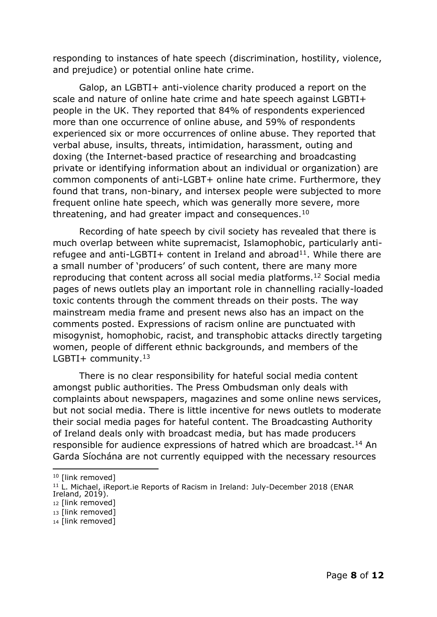responding to instances of hate speech (discrimination, hostility, violence, and prejudice) or potential online hate crime.

Galop, an LGBTI+ anti-violence charity produced a report on the scale and nature of online hate crime and hate speech against LGBTI+ people in the UK. They reported that 84% of respondents experienced more than one occurrence of online abuse, and 59% of respondents experienced six or more occurrences of online abuse. They reported that verbal abuse, insults, threats, intimidation, harassment, outing and doxing (the Internet-based practice of researching and broadcasting private or identifying information about an individual or organization) are common components of anti-LGBT+ online hate crime. Furthermore, they found that trans, non-binary, and intersex people were subjected to more frequent online hate speech, which was generally more severe, more threatening, and had greater impact and consequences.<sup>10</sup>

Recording of hate speech by civil society has revealed that there is much overlap between white supremacist, Islamophobic, particularly antirefugee and anti-LGBTI+ content in Ireland and abroad<sup>11</sup>. While there are a small number of 'producers' of such content, there are many more reproducing that content across all social media platforms.<sup>12</sup> Social media pages of news outlets play an important role in channelling racially-loaded toxic contents through the comment threads on their posts. The way mainstream media frame and present news also has an impact on the comments posted. Expressions of racism online are punctuated with misogynist, homophobic, racist, and transphobic attacks directly targeting women, people of different ethnic backgrounds, and members of the LGBTI+ community. $13$ 

There is no clear responsibility for hateful social media content amongst public authorities. The Press Ombudsman only deals with complaints about newspapers, magazines and some online news services, but not social media. There is little incentive for news outlets to moderate their social media pages for hateful content. The Broadcasting Authority of Ireland deals only with broadcast media, but has made producers responsible for audience expressions of hatred which are broadcast.<sup>14</sup> An Garda Síochána are not currently equipped with the necessary resources

<sup>&</sup>lt;sup>10</sup> [link removed]

<sup>&</sup>lt;sup>11</sup> L. Michael, iReport.ie Reports of Racism in Ireland: July-December 2018 (ENAR Ireland, 2019).

<sup>12</sup> [link removed]

<sup>13</sup> [link removed]

<sup>14</sup> [link removed]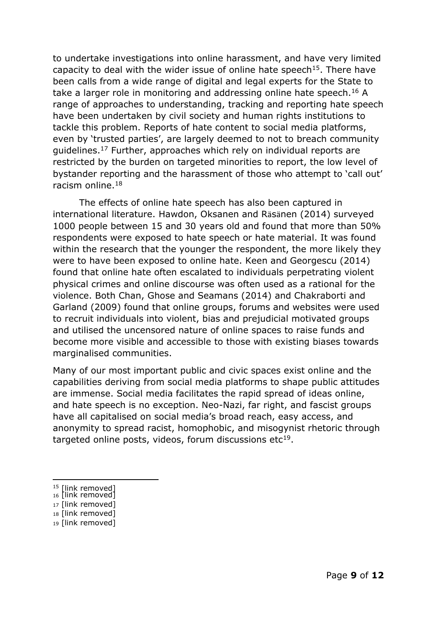to undertake investigations into online harassment, and have very limited capacity to deal with the wider issue of online hate speech<sup>15</sup>. There have been calls from a wide range of digital and legal experts for the State to take a larger role in monitoring and addressing online hate speech.<sup>16</sup> A range of approaches to understanding, tracking and reporting hate speech have been undertaken by civil society and human rights institutions to tackle this problem. Reports of hate content to social media platforms, even by 'trusted parties', are largely deemed to not to breach community guidelines.<sup>17</sup> Further, approaches which rely on individual reports are restricted by the burden on targeted minorities to report, the low level of bystander reporting and the harassment of those who attempt to 'call out' racism online.<sup>18</sup>

The effects of online hate speech has also been captured in international literature. Hawdon, Oksanen and Rӓsӓnen (2014) surveyed 1000 people between 15 and 30 years old and found that more than 50% respondents were exposed to hate speech or hate material. It was found within the research that the younger the respondent, the more likely they were to have been exposed to online hate. Keen and Georgescu (2014) found that online hate often escalated to individuals perpetrating violent physical crimes and online discourse was often used as a rational for the violence. Both Chan, Ghose and Seamans (2014) and Chakraborti and Garland (2009) found that online groups, forums and websites were used to recruit individuals into violent, bias and prejudicial motivated groups and utilised the uncensored nature of online spaces to raise funds and become more visible and accessible to those with existing biases towards marginalised communities.

Many of our most important public and civic spaces exist online and the capabilities deriving from social media platforms to shape public attitudes are immense. Social media facilitates the rapid spread of ideas online, and hate speech is no exception. Neo-Nazi, far right, and fascist groups have all capitalised on social media's broad reach, easy access, and anonymity to spread racist, homophobic, and misogynist rhetoric through targeted online posts, videos, forum discussions etc $19$ .

- <sup>15</sup> [link removed]
- 16 link removed] <sup>17</sup> [link removed]
- <sup>18</sup> [link removed]
- <sup>19</sup> [link removed]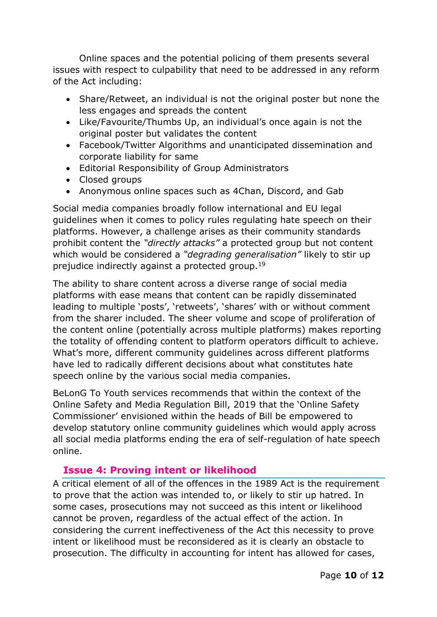Online spaces and the potential policing of them presents several issues with respect to culpability that need to be addressed in any reform of the Act including:

- Share/Retweet, an individual is not the original poster but none the less engages and spreads the content
- Like/Favourite/Thumbs Up, an individual's once again is not the original poster but validates the content
- Facebook/Twitter Algorithms and unanticipated dissemination and corporate liability for same
- Editorial Responsibility of Group Administrators
- Closed groups
- Anonymous online spaces such as 4Chan, Discord, and Gab

Social media companies broadly follow international and EU legal guidelines when it comes to policy rules regulating hate speech on their platforms. However, a challenge arises as their community standards prohibit content the *"directly attacks"* a protected group but not content which would be considered a *"degrading generalisation"* likely to stir up prejudice indirectly against a protected group.<sup>19</sup>

The ability to share content across a diverse range of social media platforms with ease means that content can be rapidly disseminated leading to multiple 'posts', 'retweets', 'shares' with or without comment from the sharer included. The sheer volume and scope of proliferation of the content online (potentially across multiple platforms) makes reporting the totality of offending content to platform operators difficult to achieve. What's more, different community guidelines across different platforms have led to radically different decisions about what constitutes hate speech online by the various social media companies.

BeLonG To Youth services recommends that within the context of the Online Safety and Media Regulation Bill, 2019 that the 'Online Safety Commissioner' envisioned within the heads of Bill be empowered to develop statutory online community guidelines which would apply across all social media platforms ending the era of self-regulation of hate speech online.

#### <span id="page-10-0"></span>**Issue 4: Proving intent or likelihood**

A critical element of all of the offences in the 1989 Act is the requirement to prove that the action was intended to, or likely to stir up hatred. In some cases, prosecutions may not succeed as this intent or likelihood cannot be proven, regardless of the actual effect of the action. In considering the current ineffectiveness of the Act this necessity to prove intent or likelihood must be reconsidered as it is clearly an obstacle to prosecution. The difficulty in accounting for intent has allowed for cases,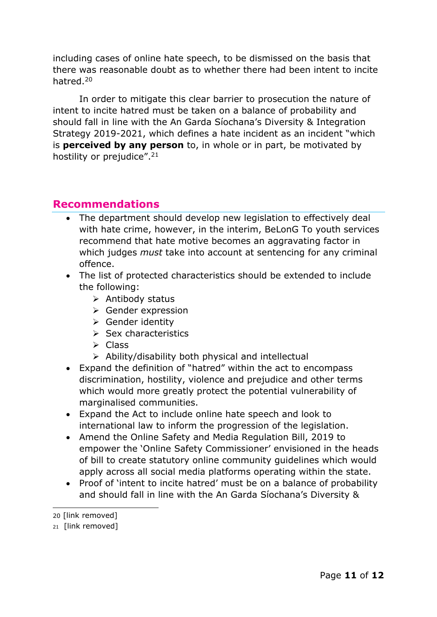including cases of online hate speech, to be dismissed on the basis that there was reasonable doubt as to whether there had been intent to incite hatred.<sup>20</sup>

In order to mitigate this clear barrier to prosecution the nature of intent to incite hatred must be taken on a balance of probability and should fall in line with the An Garda Síochana's Diversity & Integration Strategy 2019-2021, which defines a hate incident as an incident "which is **perceived by any person** to, in whole or in part, be motivated by hostility or prejudice".<sup>21</sup>

#### <span id="page-11-0"></span>**Recommendations**

- The department should develop new legislation to effectively deal with hate crime, however, in the interim, BeLonG To youth services recommend that hate motive becomes an aggravating factor in which judges *must* take into account at sentencing for any criminal offence.
- The list of protected characteristics should be extended to include the following:
	- $\triangleright$  Antibody status
	- ▶ Gender expression
	- $\triangleright$  Gender identity
	- $\triangleright$  Sex characteristics
	- $\triangleright$  Class
	- $\triangleright$  Ability/disability both physical and intellectual
- Expand the definition of "hatred" within the act to encompass discrimination, hostility, violence and prejudice and other terms which would more greatly protect the potential vulnerability of marginalised communities.
- Expand the Act to include online hate speech and look to international law to inform the progression of the legislation.
- Amend the Online Safety and Media Regulation Bill, 2019 to empower the 'Online Safety Commissioner' envisioned in the heads of bill to create statutory online community guidelines which would apply across all social media platforms operating within the state.
- Proof of 'intent to incite hatred' must be on a balance of probability and should fall in line with the An Garda Síochana's Diversity &

<sup>20</sup> [link removed]

<sup>21</sup> [link removed]